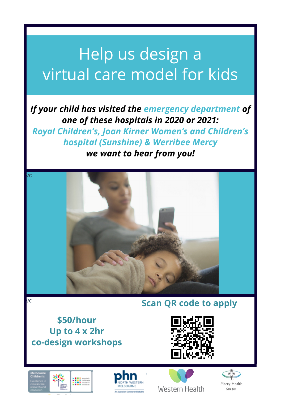# Help us design a virtual care model for kids

## *If your child has visited the emergency department of one of these hospitals in 2020 or 2021:*

*Royal Children's, Joan Kirner Women's and Children's hospital (Sunshine) & Werribee Mercy we want to hear from you!*



### **Scan QR code to apply**

**\$50/hour Up to 4 x 2hr co-design workshops**





vc

vc